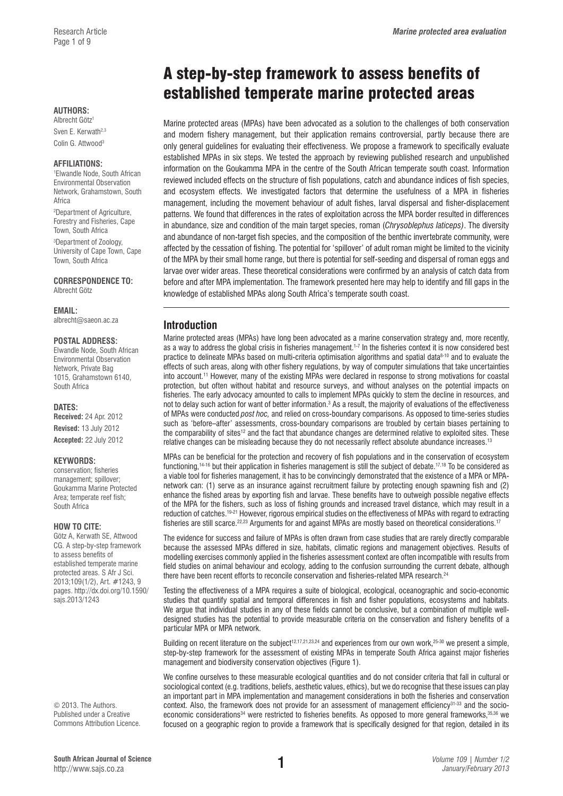#### **AUTHORS:**

Albrecht Götz1 Sven E. Kerwath<sup>2,3</sup> Colin G. Attwood3

#### **AFFILIATIONS:**

1 Elwandle Node, South African Environmental Observation Network, Grahamstown, South Africa

2 Department of Agriculture, Forestry and Fisheries, Cape Town, South Africa

3 Department of Zoology, University of Cape Town, Cape Town, South Africa

**CORRESPONDENCE TO:**  Albrecht Götz

**EMAIL:** 

[albrecht@saeon.ac.za](mailto:albrecht@saeon.ac.za)

## **POSTAL ADDRESS:**

Elwandle Node, South African Environmental Observation Network, Private Bag 1015, Grahamstown 6140, South Africa

#### **DATES:**

**Received:** 24 Apr. 2012 **Revised:** 13 July 2012 **Accepted:** 22 July 2012

#### **KEYWORDS:**

conservation; fisheries management; spillover; Goukamma Marine Protected Area; temperate reef fish; South Africa

#### **HOW TO CITE:**

Götz A, Kerwath SE, Attwood CG. A step-by-step framework to assess benefits of established temperate marine protected areas. S Afr J Sci. 2013;109(1/2), Art. #1243, 9 pages. http://dx.doi.org/10.1590/ sajs.2013/1243

© 2013. The Authors. Published under a Creative Commons Attribution Licence.

# A step-by-step framework to assess benefits of established temperate marine protected areas

Marine protected areas (MPAs) have been advocated as a solution to the challenges of both conservation and modern fishery management, but their application remains controversial, partly because there are only general guidelines for evaluating their effectiveness. We propose a framework to specifically evaluate established MPAs in six steps. We tested the approach by reviewing published research and unpublished information on the Goukamma MPA in the centre of the South African temperate south coast. Information reviewed included effects on the structure of fish populations, catch and abundance indices of fish species, and ecosystem effects. We investigated factors that determine the usefulness of a MPA in fisheries management, including the movement behaviour of adult fishes, larval dispersal and fisher-displacement patterns. We found that differences in the rates of exploitation across the MPA border resulted in differences in abundance, size and condition of the main target species, roman (*Chrysoblephus laticeps)*. The diversity and abundance of non-target fish species, and the composition of the benthic invertebrate community, were affected by the cessation of fishing. The potential for 'spillover' of adult roman might be limited to the vicinity of the MPA by their small home range, but there is potential for self-seeding and dispersal of roman eggs and larvae over wider areas. These theoretical considerations were confirmed by an analysis of catch data from before and after MPA implementation. The framework presented here may help to identify and fill gaps in the knowledge of established MPAs along South Africa's temperate south coast.

# **Introduction**

Marine protected areas (MPAs) have long been advocated as a marine conservation strategy and, more recently, as a way to address the global crisis in fisheries management.<sup>1-7</sup> In the fisheries context it is now considered best practice to delineate MPAs based on multi-criteria optimisation algorithms and spatial data<sup>8-10</sup> and to evaluate the effects of such areas, along with other fishery regulations, by way of computer simulations that take uncertainties into account.<sup>11</sup> However, many of the existing MPAs were declared in response to strong motivations for coastal protection, but often without habitat and resource surveys, and without analyses on the potential impacts on fisheries. The early advocacy amounted to calls to implement MPAs quickly to stem the decline in resources, and not to delay such action for want of better information.<sup>3</sup> As a result, the majority of evaluations of the effectiveness of MPAs were conducted *post hoc,* and relied on cross-boundary comparisons. As opposed to time-series studies such as 'before–after' assessments, cross-boundary comparisons are troubled by certain biases pertaining to the comparability of sites<sup>12</sup> and the fact that abundance changes are determined relative to exploited sites. These relative changes can be misleading because they do not necessarily reflect absolute abundance increases.13

MPAs can be beneficial for the protection and recovery of fish populations and in the conservation of ecosystem functioning,  $14-16$  but their application in fisheries management is still the subject of debate.  $17,18$  To be considered as a viable tool for fisheries management, it has to be convincingly demonstrated that the existence of a MPA or MPAnetwork can: (1) serve as an insurance against recruitment failure by protecting enough spawning fish and (2) enhance the fished areas by exporting fish and larvae. These benefits have to outweigh possible negative effects of the MPA for the fishers, such as loss of fishing grounds and increased travel distance, which may result in a reduction of catches.19-21 However, rigorous empirical studies on the effectiveness of MPAs with regard to extracting fisheries are still scarce.<sup>22,23</sup> Arguments for and against MPAs are mostly based on theoretical considerations.<sup>17</sup>

The evidence for success and failure of MPAs is often drawn from case studies that are rarely directly comparable because the assessed MPAs differed in size, habitats, climatic regions and management objectives. Results of modelling exercises commonly applied in the fisheries assessment context are often incompatible with results from field studies on animal behaviour and ecology, adding to the confusion surrounding the current debate, although there have been recent efforts to reconcile conservation and fisheries-related MPA research.<sup>24</sup>

Testing the effectiveness of a MPA requires a suite of biological, ecological, oceanographic and socio-economic studies that quantify spatial and temporal differences in fish and fisher populations, ecosystems and habitats. We argue that individual studies in any of these fields cannot be conclusive, but a combination of multiple welldesigned studies has the potential to provide measurable criteria on the conservation and fishery benefits of a particular MPA or MPA network.

Building on recent literature on the subject<sup>12,17,21,23,24</sup> and experiences from our own work,<sup>25-30</sup> we present a simple, step-by-step framework for the assessment of existing MPAs in temperate South Africa against major fisheries management and biodiversity conservation objectives (Figure 1).

We confine ourselves to these measurable ecological quantities and do not consider criteria that fall in cultural or sociological context (e.g. traditions, beliefs, aesthetic values, ethics), but we do recognise that these issues can play an important part in MPA implementation and management considerations in both the fisheries and conservation context. Also, the framework does not provide for an assessment of management efficiency $31-33$  and the socioeconomic considerations<sup>34</sup> were restricted to fisheries benefits. As opposed to more general frameworks, 35,36 we focused on a geographic region to provide a framework that is specifically designed for that region, detailed in its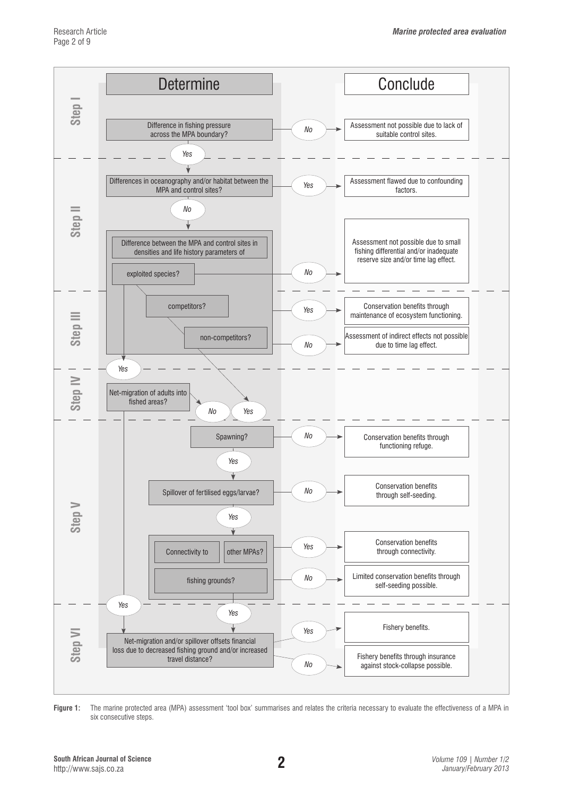

**Figure 1:** The marine protected area (MPA) assessment 'tool box' summarises and relates the criteria necessary to evaluate the effectiveness of a MPA in six consecutive steps.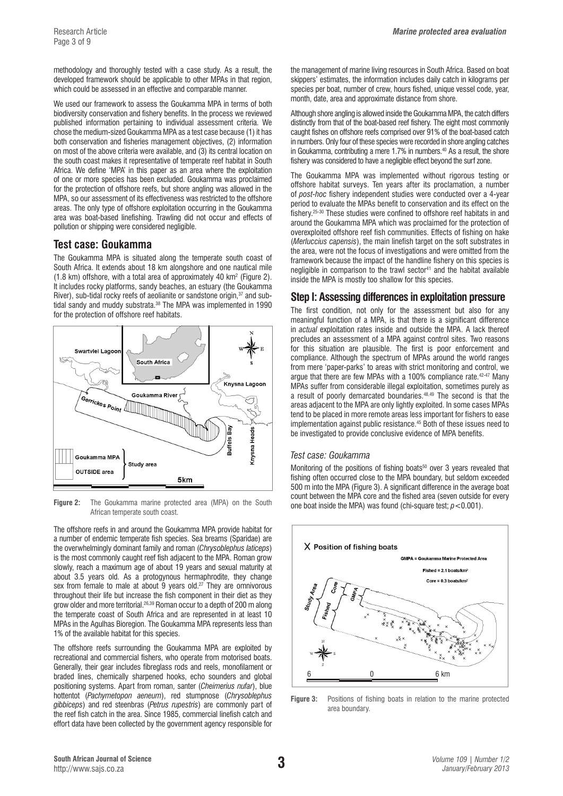methodology and thoroughly tested with a case study. As a result, the developed framework should be applicable to other MPAs in that region, which could be assessed in an effective and comparable manner.

We used our framework to assess the Goukamma MPA in terms of both biodiversity conservation and fishery benefits. In the process we reviewed published information pertaining to individual assessment criteria. We chose the medium-sized Goukamma MPA as a test case because (1) it has both conservation and fisheries management objectives, (2) information on most of the above criteria were available, and (3) its central location on the south coast makes it representative of temperate reef habitat in South Africa. We define 'MPA' in this paper as an area where the exploitation of one or more species has been excluded. Goukamma was proclaimed for the protection of offshore reefs, but shore angling was allowed in the MPA, so our assessment of its effectiveness was restricted to the offshore areas. The only type of offshore exploitation occurring in the Goukamma area was boat-based linefishing. Trawling did not occur and effects of pollution or shipping were considered negligible.

## **Test case: Goukamma**

The Goukamma MPA is situated along the temperate south coast of South Africa. It extends about 18 km alongshore and one nautical mile (1.8 km) offshore, with a total area of approximately 40 km2 (Figure 2). It includes rocky platforms, sandy beaches, an estuary (the Goukamma River), sub-tidal rocky reefs of aeolianite or sandstone origin,<sup>37</sup> and subtidal sandy and muddy substrata.38 The MPA was implemented in 1990 for the protection of offshore reef habitats.



**Figure 2:** The Goukamma marine protected area (MPA) on the South African temperate south coast.

The offshore reefs in and around the Goukamma MPA provide habitat for a number of endemic temperate fish species. Sea breams (Sparidae) are the overwhelmingly dominant family and roman (*Chrysoblephus laticeps*) is the most commonly caught reef fish adjacent to the MPA. Roman grow slowly, reach a maximum age of about 19 years and sexual maturity at about 3.5 years old. As a protogynous hermaphrodite, they change sex from female to male at about 9 years old.<sup>27</sup> They are omnivorous throughout their life but increase the fish component in their diet as they grow older and more territorial.<sup>26,39</sup> Roman occur to a depth of 200 m along the temperate coast of South Africa and are represented in at least 10 MPAs in the Agulhas Bioregion. The Goukamma MPA represents less than 1% of the available habitat for this species.

The offshore reefs surrounding the Goukamma MPA are exploited by recreational and commercial fishers, who operate from motorised boats. Generally, their gear includes fibreglass rods and reels, monofilament or braded lines, chemically sharpened hooks, echo sounders and global positioning systems. Apart from roman, santer (*Cheimerius nufar*), blue hottentot (*Pachymetopon aeneum*), red stumpnose (*Chrysoblephus gibbiceps*) and red steenbras (*Petrus rupestris*) are commonly part of the reef fish catch in the area. Since 1985, commercial linefish catch and effort data have been collected by the government agency responsible for the management of marine living resources in South Africa. Based on boat skippers' estimates, the information includes daily catch in kilograms per species per boat, number of crew, hours fished, unique vessel code, year, month, date, area and approximate distance from shore.

Although shore angling is allowed inside the Goukamma MPA, the catch differs distinctly from that of the boat-based reef fishery. The eight most commonly caught fishes on offshore reefs comprised over 91% of the boat-based catch in numbers. Only four of these species were recorded in shore angling catches in Goukamma, contributing a mere 1.7% in numbers.<sup>40</sup> As a result, the shore fishery was considered to have a negligible effect beyond the surf zone.

The Goukamma MPA was implemented without rigorous testing or offshore habitat surveys. Ten years after its proclamation, a number of *post-hoc* fishery independent studies were conducted over a 4-year period to evaluate the MPAs benefit to conservation and its effect on the fishery.<sup>25-30</sup> These studies were confined to offshore reef habitats in and around the Goukamma MPA which was proclaimed for the protection of overexploited offshore reef fish communities. Effects of fishing on hake (*Merluccius capensis*), the main linefish target on the soft substrates in the area, were not the focus of investigations and were omitted from the framework because the impact of the handline fishery on this species is negligible in comparison to the trawl sector<sup>41</sup> and the habitat available inside the MPA is mostly too shallow for this species.

## **Step I: Assessing differences in exploitation pressure**

The first condition, not only for the assessment but also for any meaningful function of a MPA, is that there is a significant difference in *actual* exploitation rates inside and outside the MPA. A lack thereof precludes an assessment of a MPA against control sites. Two reasons for this situation are plausible. The first is poor enforcement and compliance. Although the spectrum of MPAs around the world ranges from mere 'paper-parks' to areas with strict monitoring and control, we argue that there are few MPAs with a 100% compliance rate.42-47 Many MPAs suffer from considerable illegal exploitation, sometimes purely as a result of poorly demarcated boundaries.48,49 The second is that the areas adjacent to the MPA are only lightly exploited. In some cases MPAs tend to be placed in more remote areas less important for fishers to ease implementation against public resistance.<sup>45</sup> Both of these issues need to be investigated to provide conclusive evidence of MPA benefits.

## *Test case: Goukamma*

Monitoring of the positions of fishing boats<sup>50</sup> over 3 years revealed that fishing often occurred close to the MPA boundary, but seldom exceeded 500 m into the MPA (Figure 3). A significant difference in the average boat count between the MPA core and the fished area (seven outside for every one boat inside the MPA) was found (chi-square test; *p*<0.001).



**Figure 3:** Positions of fishing boats in relation to the marine protected area boundary.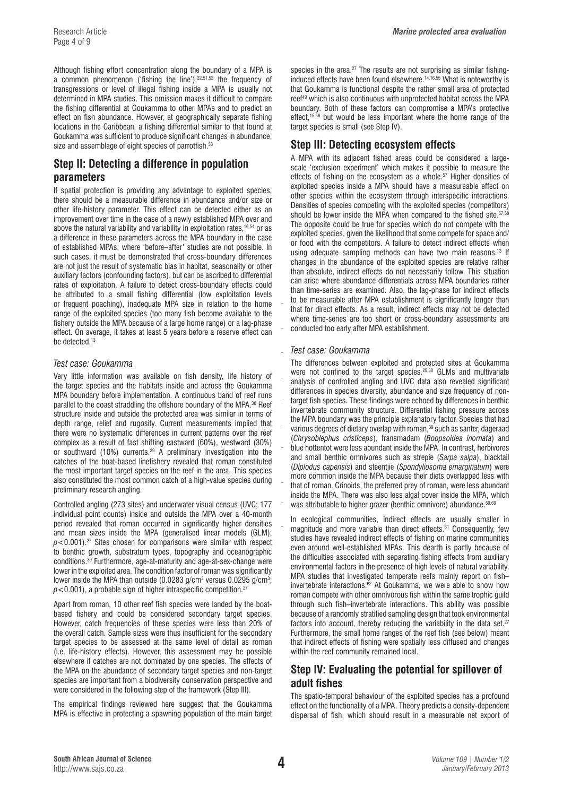Although fishing effort concentration along the boundary of a MPA is a common phenomenon ('fishing the line'),22,51,52 the frequency of transgressions or level of illegal fishing inside a MPA is usually not determined in MPA studies. This omission makes it difficult to compare the fishing differential at Goukamma to other MPAs and to predict an effect on fish abundance. However, at geographically separate fishing locations in the Caribbean, a fishing differential similar to that found at Goukamma was sufficient to produce significant changes in abundance, size and assemblage of eight species of parrotfish.<sup>53</sup>

## **Step II: Detecting a difference in population parameters**

If spatial protection is providing any advantage to exploited species, there should be a measurable difference in abundance and/or size or other life-history parameter. This effect can be detected either as an improvement over time in the case of a newly established MPA over and above the natural variability and variability in exploitation rates,16,54 or as a difference in these parameters across the MPA boundary in the case of established MPAs, where 'before–after' studies are not possible. In such cases, it must be demonstrated that cross-boundary differences are not just the result of systematic bias in habitat, seasonality or other auxiliary factors (confounding factors), but can be ascribed to differential rates of exploitation. A failure to detect cross-boundary effects could be attributed to a small fishing differential (low exploitation levels or frequent poaching), inadequate MPA size in relation to the home range of the exploited species (too many fish become available to the fishery outside the MPA because of a large home range) or a lag-phase effect. On average, it takes at least 5 years before a reserve effect can be detected.<sup>13</sup>

## *Test case: Goukamma*

Very little information was available on fish density, life history of the target species and the habitats inside and across the Goukamma MPA boundary before implementation. A continuous band of reef runs parallel to the coast straddling the offshore boundary of the MPA.30 Reef structure inside and outside the protected area was similar in terms of depth range, relief and rugosity. Current measurements implied that there were no systematic differences in current patterns over the reef complex as a result of fast shifting eastward (60%), westward (30%) or southward (10%) currents.29 A preliminary investigation into the catches of the boat-based linefishery revealed that roman constituted the most important target species on the reef in the area. This species also constituted the most common catch of a high-value species during preliminary research angling.

Controlled angling (273 sites) and underwater visual census (UVC; 177 individual point counts) inside and outside the MPA over a 40-month period revealed that roman occurred in significantly higher densities and mean sizes inside the MPA (generalised linear models (GLM);  $p$ <0.001).<sup>27</sup> Sites chosen for comparisons were similar with respect to benthic growth, substratum types, topography and oceanographic conditions.30 Furthermore, age-at-maturity and age-at-sex-change were lower in the exploited area. The condition factor of roman was significantly lower inside the MPA than outside (0.0283 g/cm $^3$  versus 0.0295 g/cm $^3\!;$  $p$ <0.001), a probable sign of higher intraspecific competition.<sup>27</sup>

Apart from roman, 10 other reef fish species were landed by the boatbased fishery and could be considered secondary target species. However, catch frequencies of these species were less than 20% of the overall catch. Sample sizes were thus insufficient for the secondary target species to be assessed at the same level of detail as roman (i.e. life-history effects). However, this assessment may be possible elsewhere if catches are not dominated by one species. The effects of the MPA on the abundance of secondary target species and non-target species are important from a biodiversity conservation perspective and were considered in the following step of the framework (Step III).

The empirical findings reviewed here suggest that the Goukamma MPA is effective in protecting a spawning population of the main target

species in the area.<sup>27</sup> The results are not surprising as similar fishinginduced effects have been found elsewhere.14,16,55 What is noteworthy is that Goukamma is functional despite the rather small area of protected reef49 which is also continuous with unprotected habitat across the MPA boundary. Both of these factors can compromise a MPA's protective effect,<sup>15,56</sup> but would be less important where the home range of the target species is small (see Step IV).

# **Step III: Detecting ecosystem effects**

A MPA with its adjacent fished areas could be considered a largescale 'exclusion experiment' which makes it possible to measure the effects of fishing on the ecosystem as a whole.<sup>57</sup> Higher densities of exploited species inside a MPA should have a measureable effect on other species within the ecosystem through interspecific interactions. Densities of species competing with the exploited species (competitors) should be lower inside the MPA when compared to the fished site.<sup>57,58</sup> The opposite could be true for species which do not compete with the exploited species, given the likelihood that some compete for space and/ or food with the competitors. A failure to detect indirect effects when using adequate sampling methods can have two main reasons.<sup>13</sup> If changes in the abundance of the exploited species are relative rather than absolute, indirect effects do not necessarily follow. This situation can arise where abundance differentials across MPA boundaries rather than time-series are examined. Also, the lag-phase for indirect effects to be measurable after MPA establishment is significantly longer than that for direct effects. As a result, indirect effects may not be detected where time-series are too short or cross-boundary assessments are conducted too early after MPA establishment.

## *Test case: Goukamma*

The differences between exploited and protected sites at Goukamma were not confined to the target species.<sup>29,30</sup> GLMs and multivariate analysis of controlled angling and UVC data also revealed significant differences in species diversity, abundance and size frequency of nontarget fish species. These findings were echoed by differences in benthic invertebrate community structure. Differential fishing pressure across the MPA boundary was the principle explanatory factor. Species that had various degrees of dietary overlap with roman,<sup>39</sup> such as santer, dageraad (*Chrysoblephus cristiceps*), fransmadam (*Boopsoidea inornata*) and blue hottentot were less abundant inside the MPA. In contrast, herbivores and small benthic omnivores such as strepie (*Sarpa salpa*), blacktail (*Diplodus capensis*) and steentjie (*Spondyliosoma emarginatum*) were more common inside the MPA because their diets overlapped less with that of roman. Crinoids, the preferred prey of roman, were less abundant inside the MPA. There was also less algal cover inside the MPA, which was attributable to higher grazer (benthic omnivore) abundance.<sup>59,60</sup>

In ecological communities, indirect effects are usually smaller in magnitude and more variable than direct effects.61 Consequently, few studies have revealed indirect effects of fishing on marine communities even around well-established MPAs. This dearth is partly because of the difficulties associated with separating fishing effects from auxiliary environmental factors in the presence of high levels of natural variability. MPA studies that investigated temperate reefs mainly report on fish– invertebrate interactions.62 At Goukamma, we were able to show how roman compete with other omnivorous fish within the same trophic guild through such fish–invertebrate interactions. This ability was possible because of a randomly stratified sampling design that took environmental factors into account, thereby reducing the variability in the data set. $27$ Furthermore, the small home ranges of the reef fish (see below) meant that indirect effects of fishing were spatially less diffused and changes within the reef community remained local.

# **Step IV: Evaluating the potential for spillover of adult fishes**

The spatio-temporal behaviour of the exploited species has a profound effect on the functionality of a MPA. Theory predicts a density-dependent dispersal of fish, which should result in a measurable net export of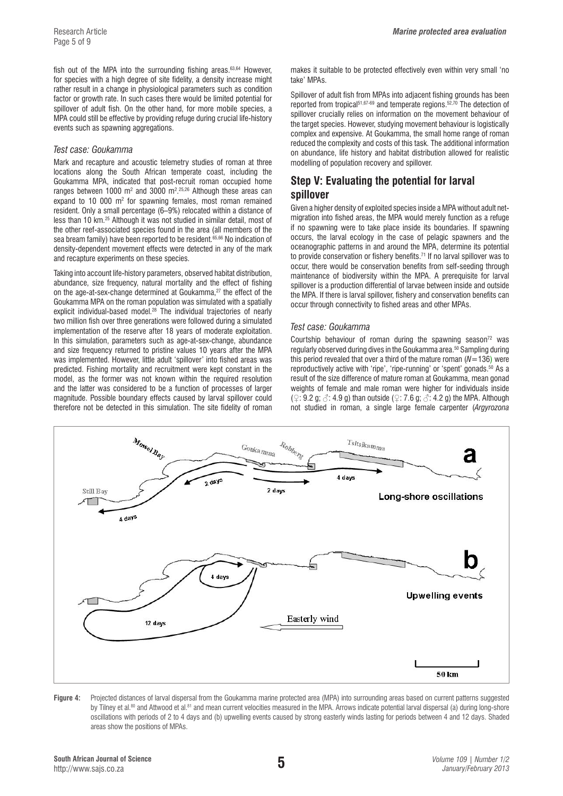fish out of the MPA into the surrounding fishing areas.<sup>63,64</sup> However, for species with a high degree of site fidelity, a density increase might rather result in a change in physiological parameters such as condition factor or growth rate. In such cases there would be limited potential for spillover of adult fish. On the other hand, for more mobile species, a MPA could still be effective by providing refuge during crucial life-history events such as spawning aggregations.

#### *Test case: Goukamma*

Mark and recapture and acoustic telemetry studies of roman at three locations along the South African temperate coast, including the Goukamma MPA, indicated that post-recruit roman occupied home ranges between 1000 m<sup>2</sup> and 3000 m<sup>2</sup>.<sup>25,26</sup> Although these areas can expand to 10 000 m<sup>2</sup> for spawning females, most roman remained resident. Only a small percentage (6–9%) relocated within a distance of less than 10 km.25 Although it was not studied in similar detail, most of the other reef-associated species found in the area (all members of the sea bream family) have been reported to be resident.<sup>65,66</sup> No indication of density-dependent movement effects were detected in any of the mark and recapture experiments on these species.

Taking into account life-history parameters, observed habitat distribution, abundance, size frequency, natural mortality and the effect of fishing on the age-at-sex-change determined at Goukamma,<sup>27</sup> the effect of the Goukamma MPA on the roman population was simulated with a spatially explicit individual-based model.<sup>28</sup> The individual trajectories of nearly two million fish over three generations were followed during a simulated implementation of the reserve after 18 years of moderate exploitation. In this simulation, parameters such as age-at-sex-change, abundance and size frequency returned to pristine values 10 years after the MPA was implemented. However, little adult 'spillover' into fished areas was predicted. Fishing mortality and recruitment were kept constant in the model, as the former was not known within the required resolution and the latter was considered to be a function of processes of larger magnitude. Possible boundary effects caused by larval spillover could therefore not be detected in this simulation. The site fidelity of roman makes it suitable to be protected effectively even within very small 'no take' MPAs.

Spillover of adult fish from MPAs into adjacent fishing grounds has been reported from tropical51,67-69 and temperate regions.52,70 The detection of spillover crucially relies on information on the movement behaviour of the target species. However, studying movement behaviour is logistically complex and expensive. At Goukamma, the small home range of roman reduced the complexity and costs of this task. The additional information on abundance, life history and habitat distribution allowed for realistic modelling of population recovery and spillover.

# **Step V: Evaluating the potential for larval spillover**

Given a higher density of exploited species inside a MPA without adult netmigration into fished areas, the MPA would merely function as a refuge if no spawning were to take place inside its boundaries. If spawning occurs, the larval ecology in the case of pelagic spawners and the oceanographic patterns in and around the MPA, determine its potential to provide conservation or fishery benefits.<sup>71</sup> If no larval spillover was to occur, there would be conservation benefits from self-seeding through maintenance of biodiversity within the MPA. A prerequisite for larval spillover is a production differential of larvae between inside and outside the MPA. If there is larval spillover, fishery and conservation benefits can occur through connectivity to fished areas and other MPAs.

## *Test case: Goukamma*

Courtship behaviour of roman during the spawning season<sup>72</sup> was regularly observed during dives in the Goukamma area.50 Sampling during this period revealed that over a third of the mature roman (*N*=136) were reproductively active with 'ripe', 'ripe-running' or 'spent' gonads.<sup>50</sup> As a result of the size difference of mature roman at Goukamma, mean gonad weights of female and male roman were higher for individuals inside (**♀**: 9.2 g; ♂: 4.9 g) than outside (♀: 7.6 g; ♂: 4.2 g) the MPA. Although not studied in roman, a single large female carpenter (*Argyrozona* 



**Figure 4:** Projected distances of larval dispersal from the Goukamma marine protected area (MPA) into surrounding areas based on current patterns suggested by Tilney et al.<sup>80</sup> and Attwood et al.<sup>81</sup> and mean current velocities measured in the MPA. Arrows indicate potential larval dispersal (a) during long-shore oscillations with periods of 2 to 4 days and (b) upwelling events caused by strong easterly winds lasting for periods between 4 and 12 days. Shaded areas show the positions of MPAs.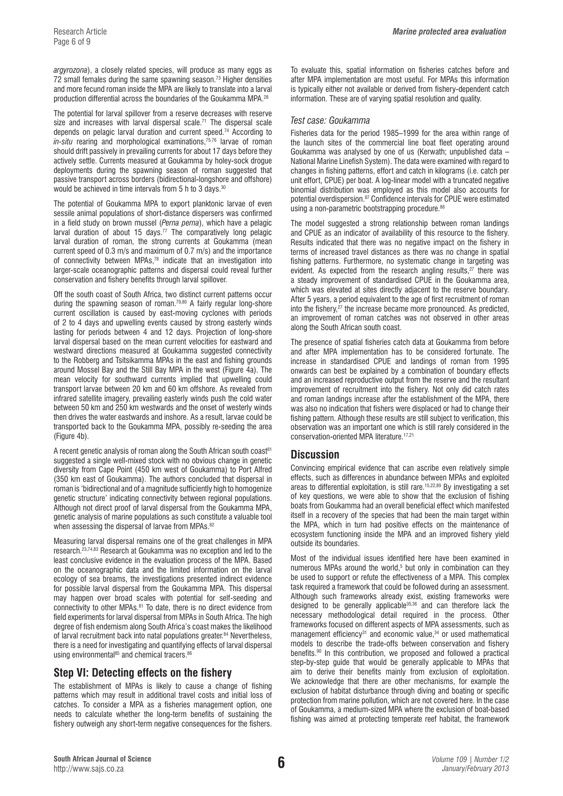*argyrozona*), a closely related species, will produce as many eggs as 72 small females during the same spawning season.<sup>73</sup> Higher densities and more fecund roman inside the MPA are likely to translate into a larval production differential across the boundaries of the Goukamma MPA.28

The potential for larval spillover from a reserve decreases with reserve size and increases with larval dispersal scale.<sup>71</sup> The dispersal scale depends on pelagic larval duration and current speed.74 According to *in-situ* rearing and morphological examinations,75,76 larvae of roman should drift passively in prevailing currents for about 17 days before they actively settle. Currents measured at Goukamma by holey-sock drogue deployments during the spawning season of roman suggested that passive transport across borders (bidirectional-longshore and offshore) would be achieved in time intervals from 5 h to 3 days.<sup>30</sup>

The potential of Goukamma MPA to export planktonic larvae of even sessile animal populations of short-distance dispersers was confirmed in a field study on brown mussel (*Perna perna*), which have a pelagic larval duration of about 15 days.<sup>77</sup> The comparatively long pelagic larval duration of roman, the strong currents at Goukamma (mean current speed of 0.3 m/s and maximum of 0.7 m/s) and the importance of connectivity between MPAs,78 indicate that an investigation into larger-scale oceanographic patterns and dispersal could reveal further conservation and fishery benefits through larval spillover.

Off the south coast of South Africa, two distinct current patterns occur during the spawning season of roman.<sup>79,80</sup> A fairly regular long-shore current oscillation is caused by east-moving cyclones with periods of 2 to 4 days and upwelling events caused by strong easterly winds lasting for periods between 4 and 12 days. Projection of long-shore larval dispersal based on the mean current velocities for eastward and westward directions measured at Goukamma suggested connectivity to the Robberg and Tsitsikamma MPAs in the east and fishing grounds around Mossel Bay and the Still Bay MPA in the west (Figure 4a). The mean velocity for southward currents implied that upwelling could transport larvae between 20 km and 60 km offshore. As revealed from infrared satellite imagery, prevailing easterly winds push the cold water between 50 km and 250 km westwards and the onset of westerly winds then drives the water eastwards and inshore. As a result, larvae could be transported back to the Goukamma MPA, possibly re-seeding the area (Figure 4b).

A recent genetic analysis of roman along the South African south coast<sup>81</sup> suggested a single well-mixed stock with no obvious change in genetic diversity from Cape Point (450 km west of Goukamma) to Port Alfred (350 km east of Goukamma). The authors concluded that dispersal in roman is 'bidirectional and of a magnitude sufficiently high to homogenize genetic structure' indicating connectivity between regional populations. Although not direct proof of larval dispersal from the Goukamma MPA, genetic analysis of marine populations as such constitute a valuable tool when assessing the dispersal of larvae from MPAs.<sup>82</sup>

Measuring larval dispersal remains one of the great challenges in MPA research.23,74,83 Research at Goukamma was no exception and led to the least conclusive evidence in the evaluation process of the MPA. Based on the oceanographic data and the limited information on the larval ecology of sea breams, the investigations presented indirect evidence for possible larval dispersal from the Goukamma MPA. This dispersal may happen over broad scales with potential for self-seeding and connectivity to other MPAs.81 To date, there is no direct evidence from field experiments for larval dispersal from MPAs in South Africa. The high degree of fish endemism along South Africa's coast makes the likelihood of larval recruitment back into natal populations greater.<sup>84</sup> Nevertheless, there is a need for investigating and quantifying effects of larval dispersal using environmental<sup>85</sup> and chemical tracers.<sup>86</sup>

## **Step VI: Detecting effects on the fishery**

The establishment of MPAs is likely to cause a change of fishing patterns which may result in additional travel costs and initial loss of catches. To consider a MPA as a fisheries management option, one needs to calculate whether the long-term benefits of sustaining the fishery outweigh any short-term negative consequences for the fishers.

To evaluate this, spatial information on fisheries catches before and after MPA implementation are most useful. For MPAs this information is typically either not available or derived from fishery-dependent catch information. These are of varying spatial resolution and quality.

## *Test case: Goukamma*

Fisheries data for the period 1985–1999 for the area within range of the launch sites of the commercial line boat fleet operating around Goukamma was analysed by one of us (Kerwath; unpublished data – National Marine Linefish System). The data were examined with regard to changes in fishing patterns, effort and catch in kilograms (i.e. catch per unit effort, CPUE) per boat. A log-linear model with a truncated negative binomial distribution was employed as this model also accounts for potential overdispersion.87 Confidence intervals for CPUE were estimated using a non-parametric bootstrapping procedure.<sup>88</sup>

The model suggested a strong relationship between roman landings and CPUE as an indicator of availability of this resource to the fishery. Results indicated that there was no negative impact on the fishery in terms of increased travel distances as there was no change in spatial fishing patterns. Furthermore, no systematic change in targeting was evident. As expected from the research angling results,<sup>27</sup> there was a steady improvement of standardised CPUE in the Goukamma area, which was elevated at sites directly adjacent to the reserve boundary. After 5 years, a period equivalent to the age of first recruitment of roman into the fishery,<sup>27</sup> the increase became more pronounced. As predicted, an improvement of roman catches was not observed in other areas along the South African south coast.

The presence of spatial fisheries catch data at Goukamma from before and after MPA implementation has to be considered fortunate. The increase in standardised CPUE and landings of roman from 1995 onwards can best be explained by a combination of boundary effects and an increased reproductive output from the reserve and the resultant improvement of recruitment into the fishery. Not only did catch rates and roman landings increase after the establishment of the MPA, there was also no indication that fishers were displaced or had to change their fishing pattern. Although these results are still subject to verification, this observation was an important one which is still rarely considered in the conservation-oriented MPA literature.17,21

## **Discussion**

Convincing empirical evidence that can ascribe even relatively simple effects, such as differences in abundance between MPAs and exploited areas to differential exploitation, is still rare.15,22,89 By investigating a set of key questions, we were able to show that the exclusion of fishing boats from Goukamma had an overall beneficial effect which manifested itself in a recovery of the species that had been the main target within the MPA, which in turn had positive effects on the maintenance of ecosystem functioning inside the MPA and an improved fishery yield outside its boundaries.

Most of the individual issues identified here have been examined in numerous MPAs around the world,<sup>5</sup> but only in combination can they be used to support or refute the effectiveness of a MPA. This complex task required a framework that could be followed during an assessment. Although such frameworks already exist, existing frameworks were designed to be generally applicable35,36 and can therefore lack the necessary methodological detail required in the process. Other frameworks focused on different aspects of MPA assessments, such as management efficiency<sup>31</sup> and economic value,<sup>34</sup> or used mathematical models to describe the trade-offs between conservation and fishery benefits.90 In this contribution, we proposed and followed a practical step-by-step guide that would be generally applicable to MPAs that aim to derive their benefits mainly from exclusion of exploitation. We acknowledge that there are other mechanisms, for example the exclusion of habitat disturbance through diving and boating or specific protection from marine pollution, which are not covered here. In the case of Goukamma, a medium-sized MPA where the exclusion of boat-based fishing was aimed at protecting temperate reef habitat, the framework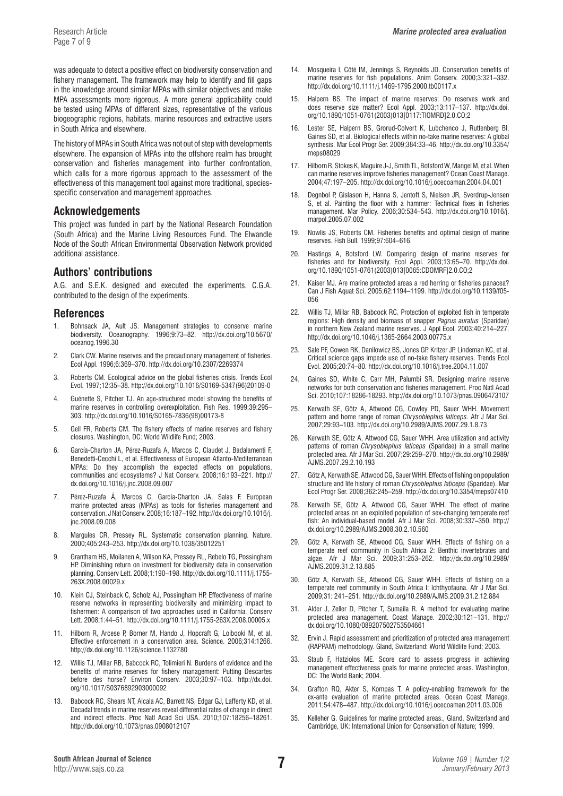was adequate to detect a positive effect on biodiversity conservation and fishery management. The framework may help to identify and fill gaps in the knowledge around similar MPAs with similar objectives and make MPA assessments more rigorous. A more general applicability could be tested using MPAs of different sizes, representative of the various biogeographic regions, habitats, marine resources and extractive users in South Africa and elsewhere.

The history of MPAs in South Africa was not out of step with developments elsewhere. The expansion of MPAs into the offshore realm has brought conservation and fisheries management into further confrontation, which calls for a more rigorous approach to the assessment of the effectiveness of this management tool against more traditional, speciesspecific conservation and management approaches.

## **Acknowledgements**

This project was funded in part by the National Research Foundation (South Africa) and the Marine Living Resources Fund. The Elwandle Node of the South African Environmental Observation Network provided additional assistance.

## **Authors' contributions**

A.G. and S.E.K. designed and executed the experiments. C.G.A. contributed to the design of the experiments.

## **References**

- 1. Bohnsack JA, Ault JS. Management strategies to conserve marine biodiversity. Oceanography. 1996;9:73–82. [http://dx.doi.org/10.5670/](http://dx.doi.org/10.5670/oceanog.1996.30) [oceanog.1996.30](http://dx.doi.org/10.5670/oceanog.1996.30)
- 2. Clark CW. Marine reserves and the precautionary management of fisheries. Ecol Appl. 1996;6:369–370. <http://dx.doi.org/10.2307/2269374>
- 3. Roberts CM. Ecological advice on the global fisheries crisis. Trends Ecol Evol. 1997;12:35–38. [http://dx.doi.org/10.1016/S0169-5347\(96\)20109-0](http://dx.doi.org/10.1016/S0169-5347%2896%2920109-0)
- 4. Guénette S, Pitcher TJ. An age-structured model showing the benefits of marine reserves in controlling overexploitation. Fish Res. 1999;39:295– 303. [http://dx.doi.org/10.1016/S0165-7836\(98\)00173-8](http://dx.doi.org/10.1016/S0165-7836%2898%2900173-8)
- 5. Gell FR, Roberts CM. The fishery effects of marine reserves and fishery closures. Washington, DC: World Wildlife Fund; 2003.
- 6. García-Charton JA, Pérez-Ruzafa A, Marcos C, Claudet J, Badalamenti F, Benedetti-Cecchi L, et al. Effectiveness of European Atlanto-Mediterranean MPAs: Do they accomplish the expected effects on populations, communities and ecosystems? J Nat Conserv. 2008;16:193–221. [http://](http://dx.doi.org/10.1016/j.jnc.2008.09.007) [dx.doi.org/10.1016/j.jnc.2008.09.007](http://dx.doi.org/10.1016/j.jnc.2008.09.007)
- 7. Pérez-Ruzafa Á, Marcos C, García-Charton JA, Salas F. European marine protected areas (MPAs) as tools for fisheries management and conservation. J Nat Conserv. 2008;16:187–192. [http://dx.doi.org/10.1016/j.](http://dx.doi.org/10.1016/j.jnc.2008.09.008) [jnc.2008.09.008](http://dx.doi.org/10.1016/j.jnc.2008.09.008)
- 8. Margules CR, Pressey RL. Systematic conservation planning. Nature. 2000;405:243–253.<http://dx.doi.org/10.1038/35012251>
- 9. Grantham HS, Moilanen A, Wilson KA, Pressey RL, Rebelo TG, Possingham HP. Diminishing return on investment for biodiversity data in conservation planning. Conserv Lett. 2008;1:190–198. [http://dx.doi.org/10.1111/j.1755-](http://dx.doi.org/10.1111/j.1755-263X.2008.00029.x) [263X.2008.00029.x](http://dx.doi.org/10.1111/j.1755-263X.2008.00029.x)
- 10. Klein CJ, Steinback C, Scholz AJ, Possingham HP. Effectiveness of marine reserve networks in representing biodiversity and minimizing impact to fishermen: A comparison of two approaches used in California. Conserv Lett. 2008;1:44–51. <http://dx.doi.org/10.1111/j.1755-263X.2008.00005.x>
- 11. Hilborn R, Arcese P, Borner M, Hando J, Hopcraft G, Loibooki M, et al. Effective enforcement in a conservation area. Science. 2006;314:1266. <http://dx.doi.org/10.1126/science.1132780>
- 12. Willis TJ, Millar RB, Babcock RC, Tolimieri N. Burdens of evidence and the benefits of marine reserves for fishery management: Putting Descartes before des horse? Environ Conserv. 2003;30:97–103. [http://dx.doi.](http://dx.doi.org/10.1017/S0376892903000092) [org/10.1017/S0376892903000092](http://dx.doi.org/10.1017/S0376892903000092)
- 13. Babcock RC, Shears NT, Alcala AC, Barrett NS, Edgar GJ, Lafferty KD, et al. Decadal trends in marine reserves reveal differential rates of change in direct and indirect effects. Proc Natl Acad Sci USA. 2010;107:18256–18261. <http://dx.doi.org/10.1073/pnas.0908012107>
- 14. Mosqueira I, Côté IM, Jennings S, Reynolds JD. Conservation benefits of marine reserves for fish populations. Anim Conserv. 2000;3:321–332. [http://dx.doi.org/10.1111/j.1469-1795.2000.tb00117.](http://dx.doi.org/10.1111/j.1469-1795.2000.tb00117)x
- 15. Halpern BS. The impact of marine reserves: Do reserves work and does reserve size matter? Ecol Appl. 2003;13:117–137. [http://dx.doi.](http://dx.doi.org/10.1890/1051-0761%282003%29013%5B0117:TIOMRD%5D2.0.CO%3B2) [org/10.1890/1051-0761\(2003\)013\[0117:TIOMRD\]2.0.CO;2](http://dx.doi.org/10.1890/1051-0761%282003%29013%5B0117:TIOMRD%5D2.0.CO%3B2)
- 16. Lester SE, Halpern BS, Grorud-Colvert K, Lubchenco J, Ruttenberg BI, Gaines SD, et al. Biological effects within no-take marine reserves: A global synthesis. Mar Ecol Progr Ser. 2009;384:33–46. [http://dx.doi.org/10.3354/](http://dx.doi.org/10.3354/meps08029) [meps08029](http://dx.doi.org/10.3354/meps08029)
- 17. Hilborn R, Stokes K, Maguire J-J, Smith TL, Botsford W, Mangel M, et al. When can marine reserves improve fisheries management? Ocean Coast Manage. 2004;47:197–205. <http://dx.doi.org/10.1016/j.ocecoaman.2004.04.001>
- Degnbol P, Gislason H, Hanna S, Jentoft S, Nielsen JR, Sverdrup-Jensen S, et al. Painting the floor with a hammer: Technical fixes in fisheries management. Mar Policy. 2006;30:534–543. [http://dx.doi.org/10.1016/j.](http://dx.doi.org/10.1016/j.marpol.2005.07.002) [marpol.2005.07.002](http://dx.doi.org/10.1016/j.marpol.2005.07.002)
- 19. Nowlis JS, Roberts CM. Fisheries benefits and optimal design of marine reserves. Fish Bull. 1999;97:604–616.
- 20. Hastings A, Botsford LW. Comparing design of marine reserves for fisheries and for biodiversity. Ecol Appl. 2003;13:65–70. [http://dx.doi.](http://dx.doi.org/10.1890/1051-0761%282003%29013%5B0065:CDOMRF%5D2.0.CO%3B2) [org/10.1890/1051-0761\(2003\)013\[0065:CDOMRF\]2.0.CO;2](http://dx.doi.org/10.1890/1051-0761%282003%29013%5B0065:CDOMRF%5D2.0.CO%3B2)
- Kaiser MJ. Are marine protected areas a red herring or fisheries panacea? Can J Fish Aquat Sci. 2005;62:1194–1199. [http://dx.doi.org/10.1139/f05-](http://dx.doi.org/10.1139/f05-056) [056](http://dx.doi.org/10.1139/f05-056)
- 22. Willis TJ, Millar RB, Babcock RC. Protection of exploited fish in temperate regions: High density and biomass of snapper *Pagrus auratus* (Sparidae) in northern New Zealand marine reserves. J Appl Ecol. 2003;40:214–227. <http://dx.doi.org/10.1046/j.1365-2664.2003.00775.x>
- 23. Sale PF, Cowen RK, Danilowicz BS, Jones GP, Kritzer JP, Lindeman KC, et al. Critical science gaps impede use of no-take fishery reserves. Trends Ecol Evol. 2005;20:74–80. <http://dx.doi.org/10.1016/j.tree.2004.11.007>
- 24. Gaines SD, White C, Carr MH, Palumbi SR. Designing marine reserve networks for both conservation and fisheries management. Proc Natl Acad Sci. 2010;107:18286-18293. <http://dx.doi.org/10.1073/pnas.0906473107>
- 25. Kerwath SE, Götz A, Attwood CG, Cowley PD, Sauer WHH. Movement pattern and home range of roman *Chrysoblephus laticeps*. Afr J Mar Sci. 2007;29:93–103. <http://dx.doi.org/10.2989/AJMS.2007.29.1.8.73>
- 26. Kerwath SE, Götz A, Attwood CG, Sauer WHH. Area utilization and activity patterns of roman *Chrysoblephus laticeps* (Sparidae) in a small marine protected area. Afr J Mar Sci. 2007;29:259–270. [http://dx.doi.org/10.2989/](http://dx.doi.org/10.2989/AJMS.2007.29.2.10.193) [AJMS.2007.29.2.10.193](http://dx.doi.org/10.2989/AJMS.2007.29.2.10.193)
- 27. Götz A, Kerwath SE, Attwood CG, Sauer WHH. Effects of fishing on population structure and life history of roman *Chrysoblephus laticeps* (Sparidae). Mar Ecol Progr Ser. 2008;362:245–259.<http://dx.doi.org/10.3354/meps07410>
- 28. Kerwath SE, Götz A, Attwood CG, Sauer WHH. The effect of marine protected areas on an exploited population of sex-changing temperate reef fish: An individual-based model. Afr J Mar Sci. 2008;30:337–350. [http://](http://dx.doi.org/10.2989/AJMS.2008.30.2.10.560) [dx.doi.org/10.2989/AJMS.2008.30.2.10.560](http://dx.doi.org/10.2989/AJMS.2008.30.2.10.560)
- 29. Götz A, Kerwath SE, Attwood CG, Sauer WHH. Effects of fishing on a temperate reef community in South Africa 2: Benthic invertebrates and algae. Afr J Mar Sci. 2009;31:253–262. [http://dx.doi.org/10.2989/](http://dx.doi.org/10.2989/AJMS.2009.31.2.13.885) [AJMS.2009.31.2.13.885](http://dx.doi.org/10.2989/AJMS.2009.31.2.13.885)
- 30. Götz A, Kerwath SE, Attwood CG, Sauer WHH. Effects of fishing on a temperate reef community in South Africa I: Ichthyofauna. Afr J Mar Sci. 2009;31: 241–251.<http://dx.doi.org/10.2989/AJMS.2009.31.2.12.884>
- 31. Alder J, Zeller D, Pitcher T, Sumaila R. A method for evaluating marine protected area management. Coast Manage. 2002;30:121–131. [http://](http://dx.doi.org/10.1080/089207502753504661) [dx.doi.org/10.1080/089207502753504661](http://dx.doi.org/10.1080/089207502753504661)
- 32. Ervin J. Rapid assessment and prioritization of protected area management (RAPPAM) methodology. Gland, Switzerland: World Wildlife Fund; 2003.
- 33. Staub F, Hatziolos ME. Score card to assess progress in achieving management effectiveness goals for marine protected areas. Washington, DC: The World Bank; 2004.
- Grafton RQ, Akter S, Kompas T. A policy-enabling framework for the ex-ante evaluation of marine protected areas. Ocean Coast Manage. 2011;54:478–487. <http://dx.doi.org/10.1016/j.ocecoaman.2011.03.006>
- 35. Kelleher G. Guidelines for marine protected areas., Gland, Switzerland and Cambridge, UK: International Union for Conservation of Nature; 1999.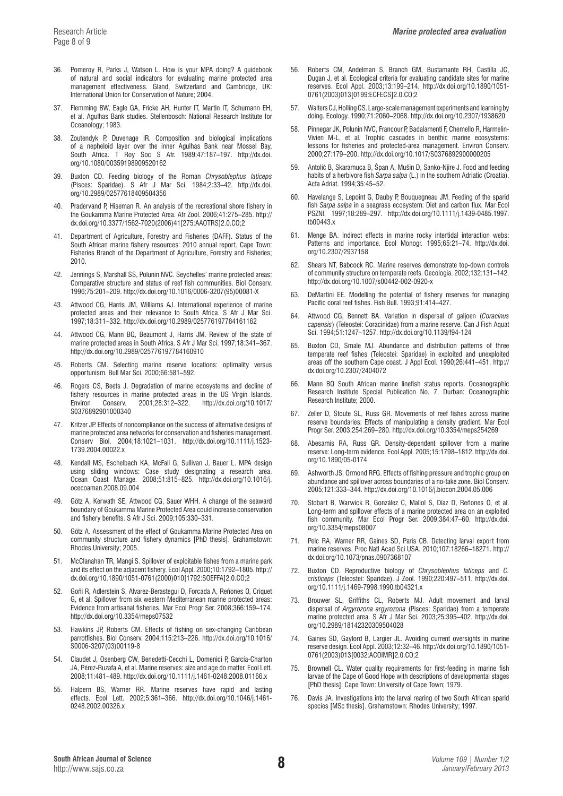- 36. Pomeroy R, Parks J, Watson L. How is your MPA doing? A guidebook of natural and social indicators for evaluating marine protected area management effectiveness. Gland, Switzerland and Cambridge, UK: International Union for Conservation of Nature; 2004.
- 37. Flemming BW, Eagle GA, Fricke AH, Hunter IT, Martin IT, Schumann EH, et al. Agulhas Bank studies. Stellenbosch: National Research Institute for Oceanology; 1983.
- 38. Zoutendyk P, Duvenage IR. Composition and biological implications of a nepheloid layer over the inner Agulhas Bank near Mossel Bay, South Africa. T Roy Soc S Afr. 1989;47:187–197. [http://dx.doi.](http://dx.doi.org/10.1080/00359198909520162) [org/10.1080/00359198909520162](http://dx.doi.org/10.1080/00359198909520162)
- 39. Buxton CD. Feeding biology of the Roman *Chrysoblephus laticeps* (Pisces: Sparidae). S Afr J Mar Sci. 1984;2:33–42. [http://dx.doi.](http://dx.doi.org/10.2989/02577618409504356) [org/10.2989/02577618409504356](http://dx.doi.org/10.2989/02577618409504356)
- Pradervand P, Hiseman R. An analysis of the recreational shore fishery in the Goukamma Marine Protected Area. Afr Zool. 2006;41:275–285. [http://](http://dx.doi.org/10.3377/1562-7020%282006%2941%5B275:AAOTRS%5D2.0.CO%3B2) [dx.doi.org/10.3377/1562](http://dx.doi.org/10.3377/1562-7020%282006%2941%5B275:AAOTRS%5D2.0.CO%3B2)-7020(2006)41[275:AAOTRS]<2.0.CO>;2
- 41. Department of Agriculture, Forestry and Fisheries (DAFF). Status of the South African marine fishery resources: 2010 annual report. Cape Town: Fisheries Branch of the Department of Agriculture, Forestry and Fisheries; 2010.
- 42. Jennings S, Marshall SS, Polunin NVC. Seychelles' marine protected areas: Comparative structure and status of reef fish communities. Biol Conserv. 1996;75:201–209. <http://dx.doi.org/10.1016/0006>-3207(95)00081-X
- 43. Attwood CG, Harris JM, Williams AJ. International experience of marine protected areas and their relevance to South Africa. S Afr J Mar Sci. 1997;18:311–332. <http://dx.doi.org/10.2989/025776197784161162>
- 44. Attwood CG, Mann BQ, Beaumont J, Harris JM. Review of the state of marine protected areas in South Africa. S Afr J Mar Sci. 1997;18:341–367. <http://dx.doi.org/10.2989/025776197784160910>
- 45. Roberts CM. Selecting marine reserve locations: optimality versus opportunism. Bull Mar Sci. 2000;66:581–592.
- 46. Rogers CS, Beets J. Degradation of marine ecosystems and decline of fishery resources in marine protected areas in the US Virgin Islands.<br>Environ Conserv. 2001;28:312-322. http://dx.doi.org/10.1017/ Environ Conserv. 2001;28:312–322. [http://dx.doi.org/10.1017/](http://dx.doi.org/10.1017/S0376892901000340) [S0376892901000340](http://dx.doi.org/10.1017/S0376892901000340)
- 47. Kritzer JP. Effects of noncompliance on the success of alternative designs of marine protected area networks for conservation and fisheries management. Conserv Biol. 2004;18:1021–1031. [http://dx.doi.org/10.1111/j.1523-](http://dx.doi.org/10.1111/j.1523-1739.2004.00022) [1739.2004.00022](http://dx.doi.org/10.1111/j.1523-1739.2004.00022).x
- 48. Kendall MS, Eschelbach KA, McFall G, Sullivan J, Bauer L. MPA design using sliding windows: Case study designating a research area. Ocean Coast Manage. 2008;51:815–825. [http://dx.doi.org/10.1016/j.](http://dx.doi.org/10.1016/j.ocecoaman.2008.09.004) [ocecoaman.2008.09.004](http://dx.doi.org/10.1016/j.ocecoaman.2008.09.004)
- 49. Götz A, Kerwath SE, Attwood CG, Sauer WHH. A change of the seaward boundary of Goukamma Marine Protected Area could increase conservation and fishery benefits. S Afr J Sci. 2009;105:330–331.
- 50. Götz A. Assessment of the effect of Goukamma Marine Protected Area on community structure and fishery dynamics [PhD thesis]. Grahamstown: Rhodes University; 2005.
- 51. McClanahan TR, Mangi S. Spillover of exploitable fishes from a marine park and its effect on the adjacent fishery. Ecol Appl. 2000;10:1792–1805. [http://](http://dx.doi.org/10.1890/1051-0761%282000%29010%5B1792:SOEFFA%5D2.0.CO%3B2) [dx.doi.org/10.1890/1051](http://dx.doi.org/10.1890/1051-0761%282000%29010%5B1792:SOEFFA%5D2.0.CO%3B2)-0761(2000)010[1792:SOEFFA][2.0.CO;](2.0.CO)2
- 52. Goñi R, Adlerstein S, Alvarez-Berastegui D, Forcada A, Reñones O, Criquet G, et al. Spillover from six western Mediterranean marine protected areas: Evidence from artisanal fisheries. Mar Ecol Progr Ser. 2008;366:159–174. <http://dx.doi.org/10.3354/meps07532>
- 53. Hawkins JP, Roberts CM. Effects of fishing on sex-changing Caribbean parrotfishes. Biol Conserv. 2004;115:213–226. [http://dx.doi.org/10.1016/](http://dx.doi.org/10.1016/S0006) [S0006-](http://dx.doi.org/10.1016/S0006)3207(03)00119-8
- 54. Claudet J, Osenberg CW, Benedetti-Cecchi L, Domenici P, García-Charton JA, Pérez-Ruzafa A, et al. Marine reserves: size and age do matter. Ecol Lett. 2008;11:481–489. [http://dx.doi.org/10.1111/j.1461-0248.2008.01166.](http://dx.doi.org/10.1111/j.1461-0248.2008.01166)x
- Halpern BS, Warner RR. Marine reserves have rapid and lasting effects. Ecol Lett. 2002;5:361–366. [http://dx.doi.org/10.1046/j.1461-](http://dx.doi.org/10.1046/j.1461-0248.2002.00326) [0248.2002.00326](http://dx.doi.org/10.1046/j.1461-0248.2002.00326).x
- 56. Roberts CM, Andelman S, Branch GM, Bustamante RH, Castilla JC, Dugan J, et al. Ecological criteria for evaluating candidate sites for marine reserves. Ecol Appl. 2003;13:199–214. [http://dx.doi.org/10.1890/1051](http://dx.doi.org/10.1890/1051-0761%282003%29013%5B0199:ECFECS%5D2.0.CO%3B2)- 0761(2003)013[0199:ECFECS[\]2.0.CO](2.0.CO);2
- 57. Walters CJ, Holling CS. Large-scale management experiments and learning by doing. Ecology. 1990;71:2060–2068. <http://dx.doi.org/10.2307/1938620>
- Pinnegar JK, Polunin NVC, Francour P, Badalamenti F, Chemello R, Harmelin-Vivien M-L, et al. Trophic cascades in benthic marine ecosystems: lessons for fisheries and protected-area management. Environ Conserv. 2000;27:179–200. <http://dx.doi.org/10.1017/S0376892900000205>
- 59. Antolić B, Skaramuca B, Špan A, Mušin D, Sanko-Njire J. Food and feeding habits of a herbivore fish *Sarpa salpa* (L.) in the southern Adriatic (Croatia). Acta Adriat. 1994;35:45–52.
- 60. Havelange S, Lepoint G, Dauby P, Bouquegneau JM. Feeding of the sparid fish *Sarpa salpa* in a seagrass ecosystem: Diet and carbon flux. Mar Ecol PSZNI. 1997;18:289–297. [http://dx.doi.org/10.1111/j.1439-0485.1997.](http://dx.doi.org/10.1111/j.1439-0485.1997.tb00443) [tb00443.](http://dx.doi.org/10.1111/j.1439-0485.1997.tb00443)x
- 61. Menge BA. Indirect effects in marine rocky intertidal interaction webs: Patterns and importance. Ecol Monogr. 1995;65:21–74. [http://dx.doi.](http://dx.doi.org/10.2307/2937158) [org/10.2307/2937158](http://dx.doi.org/10.2307/2937158)
- 62. Shears NT, Babcock RC. Marine reserves demonstrate top-down controls of community structure on temperate reefs. Oecologia. 2002;132:131–142. <http://dx.doi.org/10.1007/s00442>-002-0920-x
- 63. DeMartini EE. Modelling the potential of fishery reserves for managing Pacific coral reef fishes. Fish Bull. 1993;91:414–427.
- 64. Attwood CG, Bennett BA. Variation in dispersal of galjoen (*Coracinus capensis*) (Teleostei: Coracinidae) from a marine reserve. Can J Fish Aquat Sci. 1994;51:1247–1257. [http://dx.doi.org/10.1139/f94-](http://dx.doi.org/10.1139/f94)124
- 65. Buxton CD, Smale MJ. Abundance and distribution patterns of three temperate reef fishes (Teleostei: Sparidae) in exploited and unexploited areas off the southern Cape coast. J Appl Ecol. 1990;26:441–451. [http://](http://dx.doi.org/10.2307/2404072) [dx.doi.org/10.2307/2404072](http://dx.doi.org/10.2307/2404072)
- 66. Mann BQ South African marine linefish status reports. Oceanographic Research Institute Special Publication No. 7. Durban: Oceanographic Research Institute; 2000.
- 67. Zeller D, Stoute SL, Russ GR. Movements of reef fishes across marine reserve boundaries: Effects of manipulating a density gradient. Mar Ecol Progr Ser. 2003;254:269–280.<http://dx.doi.org/10.3354/meps254269>
- 68. Abesamis RA, Russ GR. Density-dependent spillover from a marine reserve: Long-term evidence. Ecol Appl. 2005;15:1798–1812. [http://dx.doi.](http://dx.doi.org/10.1890/05) [org/10.1890/05-](http://dx.doi.org/10.1890/05)0174
- 69. Ashworth JS, Ormond RFG. Effects of fishing pressure and trophic group on abundance and spillover across boundaries of a no-take zone. Biol Conserv. 2005;121:333–344.<http://dx.doi.org/10.1016/j.biocon.2004.05.006>
- 70. Stobart B, Warwick R, González C, Mallol S, Díaz D, Reñones O, et al. Long-term and spillover effects of a marine protected area on an exploited fish community. Mar Ecol Progr Ser. 2009;384:47–60. [http://dx.doi.](http://dx.doi.org/10.3354/meps08007) [org/10.3354/meps08007](http://dx.doi.org/10.3354/meps08007)
- 71. Pelc RA, Warner RR, Gaines SD, Paris CB. Detecting larval export from marine reserves. Proc Natl Acad Sci USA. 2010;107:18266–18271. [http://](http://dx.doi.org/10.1073/pnas.0907368107) [dx.doi.org/10.1073/pnas.0907368107](http://dx.doi.org/10.1073/pnas.0907368107)
- 72. Buxton CD. Reproductive biology of *Chrysoblephus laticeps* and *C. cristiceps* (Teleostei: Sparidae). J Zool. 1990;220:497–511. [http://dx.doi.](http://dx.doi.org/10.1111/j.1469-7998.1990.tb04321) [org/10.1111/j.1469-7998.1990.tb04321.](http://dx.doi.org/10.1111/j.1469-7998.1990.tb04321)x
- 73. Brouwer SL, Griffiths CL, Roberts MJ. Adult movement and larval dispersal of *Argyrozona argyrozona* (Pisces: Sparidae) from a temperate marine protected area. S Afr J Mar Sci. 2003;25:395–402. [http://dx.doi.](http://dx.doi.org/10.2989/18142320309504028) [org/10.2989/18142320309504028](http://dx.doi.org/10.2989/18142320309504028)
- 74. Gaines SD, Gaylord B, Largier JL. Avoiding current oversights in marine reserve design. Ecol Appl. 2003;12:32–46.<http://dx.doi.org/10.1890/1051>- 0761(2003)013[0032:ACOIMR[\]2.0.CO](http://dx.doi.org/10.1890/1051-0761%282003%29013%5B0032:ACOIMR%5D2.0.CO%3B2);2
- Brownell CL. Water quality requirements for first-feeding in marine fish larvae of the Cape of Good Hope with descriptions of developmental stages [PhD thesis]. Cape Town: University of Cape Town; 1979.
- 76. Davis JA. Investigations into the larval rearing of two South African sparid species [MSc thesis]. Grahamstown: Rhodes University; 1997.